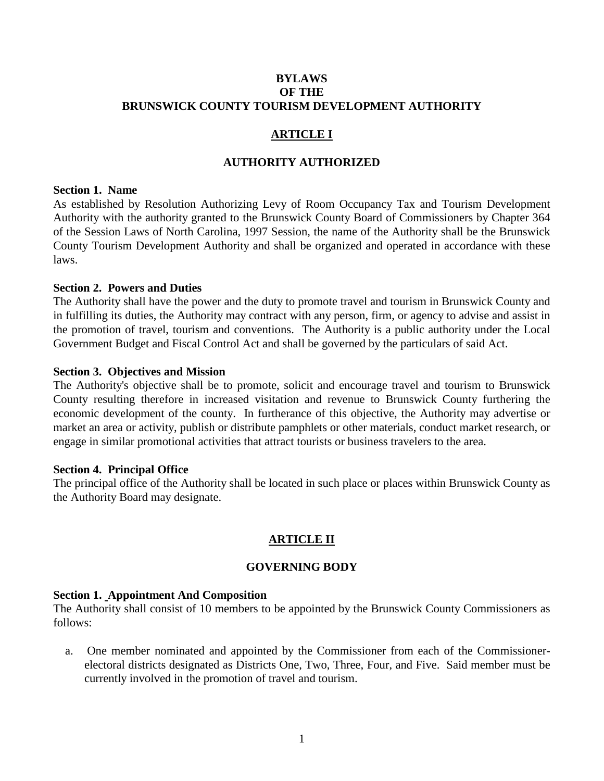# **BYLAWS OF THE BRUNSWICK COUNTY TOURISM DEVELOPMENT AUTHORITY**

# **ARTICLE I**

# **AUTHORITY AUTHORIZED**

#### **Section 1. Name**

As established by Resolution Authorizing Levy of Room Occupancy Tax and Tourism Development Authority with the authority granted to the Brunswick County Board of Commissioners by Chapter 364 of the Session Laws of North Carolina, 1997 Session, the name of the Authority shall be the Brunswick County Tourism Development Authority and shall be organized and operated in accordance with these laws.

# **Section 2. Powers and Duties**

The Authority shall have the power and the duty to promote travel and tourism in Brunswick County and in fulfilling its duties, the Authority may contract with any person, firm, or agency to advise and assist in the promotion of travel, tourism and conventions. The Authority is a public authority under the Local Government Budget and Fiscal Control Act and shall be governed by the particulars of said Act.

#### **Section 3. Objectives and Mission**

The Authority's objective shall be to promote, solicit and encourage travel and tourism to Brunswick County resulting therefore in increased visitation and revenue to Brunswick County furthering the economic development of the county. In furtherance of this objective, the Authority may advertise or market an area or activity, publish or distribute pamphlets or other materials, conduct market research, or engage in similar promotional activities that attract tourists or business travelers to the area.

#### **Section 4. Principal Office**

The principal office of the Authority shall be located in such place or places within Brunswick County as the Authority Board may designate.

# **ARTICLE II**

# **GOVERNING BODY**

#### **Section 1. Appointment And Composition**

The Authority shall consist of 10 members to be appointed by the Brunswick County Commissioners as follows:

 a. One member nominated and appointed by the Commissioner from each of the Commissionerelectoral districts designated as Districts One, Two, Three, Four, and Five. Said member must be currently involved in the promotion of travel and tourism.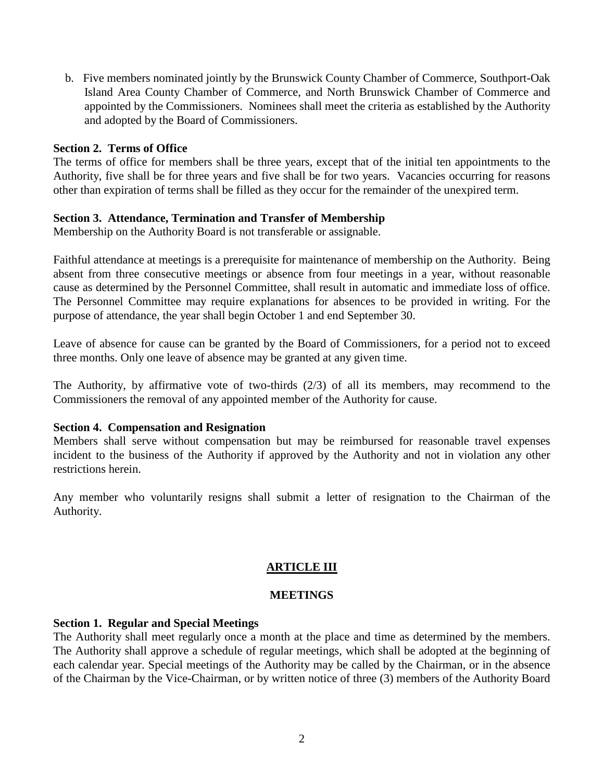b. Five members nominated jointly by the Brunswick County Chamber of Commerce, Southport-Oak Island Area County Chamber of Commerce, and North Brunswick Chamber of Commerce and appointed by the Commissioners. Nominees shall meet the criteria as established by the Authority and adopted by the Board of Commissioners.

#### **Section 2. Terms of Office**

The terms of office for members shall be three years, except that of the initial ten appointments to the Authority, five shall be for three years and five shall be for two years. Vacancies occurring for reasons other than expiration of terms shall be filled as they occur for the remainder of the unexpired term.

# **Section 3. Attendance, Termination and Transfer of Membership**

Membership on the Authority Board is not transferable or assignable.

Faithful attendance at meetings is a prerequisite for maintenance of membership on the Authority. Being absent from three consecutive meetings or absence from four meetings in a year, without reasonable cause as determined by the Personnel Committee, shall result in automatic and immediate loss of office. The Personnel Committee may require explanations for absences to be provided in writing. For the purpose of attendance, the year shall begin October 1 and end September 30.

Leave of absence for cause can be granted by the Board of Commissioners, for a period not to exceed three months. Only one leave of absence may be granted at any given time.

The Authority, by affirmative vote of two-thirds (2/3) of all its members, may recommend to the Commissioners the removal of any appointed member of the Authority for cause.

#### **Section 4. Compensation and Resignation**

Members shall serve without compensation but may be reimbursed for reasonable travel expenses incident to the business of the Authority if approved by the Authority and not in violation any other restrictions herein.

Any member who voluntarily resigns shall submit a letter of resignation to the Chairman of the Authority.

# **ARTICLE III**

#### **MEETINGS**

# **Section 1. Regular and Special Meetings**

The Authority shall meet regularly once a month at the place and time as determined by the members. The Authority shall approve a schedule of regular meetings, which shall be adopted at the beginning of each calendar year. Special meetings of the Authority may be called by the Chairman, or in the absence of the Chairman by the Vice-Chairman, or by written notice of three (3) members of the Authority Board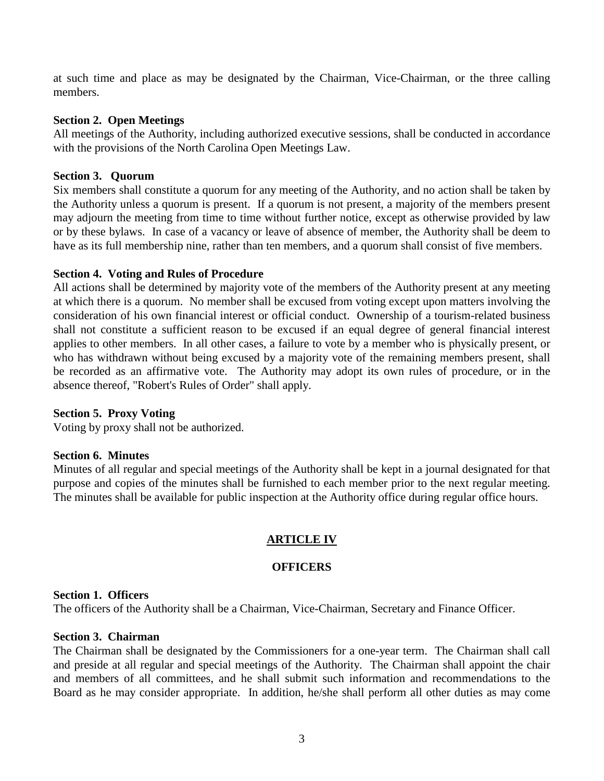at such time and place as may be designated by the Chairman, Vice-Chairman, or the three calling members.

# **Section 2. Open Meetings**

All meetings of the Authority, including authorized executive sessions, shall be conducted in accordance with the provisions of the North Carolina Open Meetings Law.

# **Section 3. Quorum**

Six members shall constitute a quorum for any meeting of the Authority, and no action shall be taken by the Authority unless a quorum is present. If a quorum is not present, a majority of the members present may adjourn the meeting from time to time without further notice, except as otherwise provided by law or by these bylaws. In case of a vacancy or leave of absence of member, the Authority shall be deem to have as its full membership nine, rather than ten members, and a quorum shall consist of five members.

# **Section 4. Voting and Rules of Procedure**

All actions shall be determined by majority vote of the members of the Authority present at any meeting at which there is a quorum. No member shall be excused from voting except upon matters involving the consideration of his own financial interest or official conduct. Ownership of a tourism-related business shall not constitute a sufficient reason to be excused if an equal degree of general financial interest applies to other members. In all other cases, a failure to vote by a member who is physically present, or who has withdrawn without being excused by a majority vote of the remaining members present, shall be recorded as an affirmative vote. The Authority may adopt its own rules of procedure, or in the absence thereof, "Robert's Rules of Order" shall apply.

# **Section 5. Proxy Voting**

Voting by proxy shall not be authorized.

# **Section 6. Minutes**

Minutes of all regular and special meetings of the Authority shall be kept in a journal designated for that purpose and copies of the minutes shall be furnished to each member prior to the next regular meeting. The minutes shall be available for public inspection at the Authority office during regular office hours.

# **ARTICLE IV**

# **OFFICERS**

# **Section 1. Officers**

The officers of the Authority shall be a Chairman, Vice-Chairman, Secretary and Finance Officer.

# **Section 3. Chairman**

The Chairman shall be designated by the Commissioners for a one-year term. The Chairman shall call and preside at all regular and special meetings of the Authority. The Chairman shall appoint the chair and members of all committees, and he shall submit such information and recommendations to the Board as he may consider appropriate. In addition, he/she shall perform all other duties as may come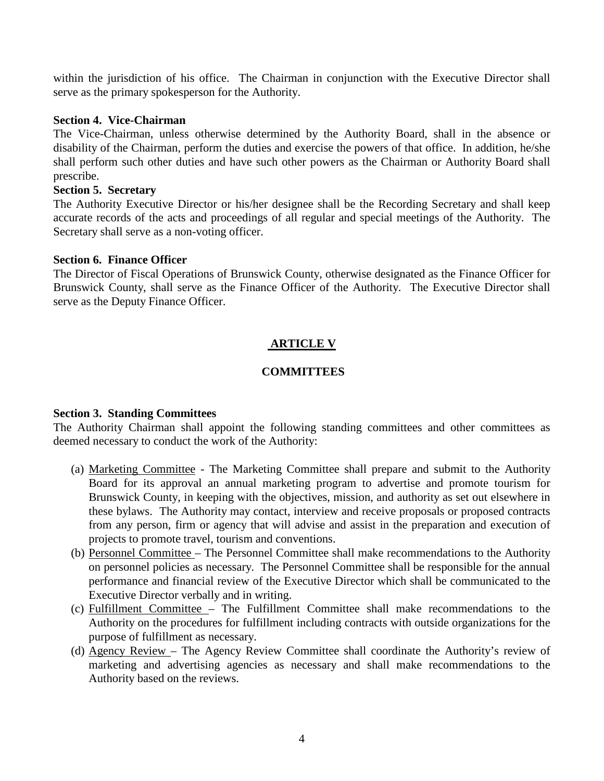within the jurisdiction of his office. The Chairman in conjunction with the Executive Director shall serve as the primary spokesperson for the Authority.

# **Section 4. Vice-Chairman**

The Vice-Chairman, unless otherwise determined by the Authority Board, shall in the absence or disability of the Chairman, perform the duties and exercise the powers of that office. In addition, he/she shall perform such other duties and have such other powers as the Chairman or Authority Board shall prescribe.

#### **Section 5. Secretary**

The Authority Executive Director or his/her designee shall be the Recording Secretary and shall keep accurate records of the acts and proceedings of all regular and special meetings of the Authority. The Secretary shall serve as a non-voting officer.

#### **Section 6. Finance Officer**

The Director of Fiscal Operations of Brunswick County, otherwise designated as the Finance Officer for Brunswick County, shall serve as the Finance Officer of the Authority. The Executive Director shall serve as the Deputy Finance Officer.

# **ARTICLE V**

# **COMMITTEES**

# **Section 3. Standing Committees**

The Authority Chairman shall appoint the following standing committees and other committees as deemed necessary to conduct the work of the Authority:

- (a) Marketing Committee The Marketing Committee shall prepare and submit to the Authority Board for its approval an annual marketing program to advertise and promote tourism for Brunswick County, in keeping with the objectives, mission, and authority as set out elsewhere in these bylaws. The Authority may contact, interview and receive proposals or proposed contracts from any person, firm or agency that will advise and assist in the preparation and execution of projects to promote travel, tourism and conventions.
- (b) Personnel Committee The Personnel Committee shall make recommendations to the Authority on personnel policies as necessary. The Personnel Committee shall be responsible for the annual performance and financial review of the Executive Director which shall be communicated to the Executive Director verbally and in writing.
- (c) Fulfillment Committee The Fulfillment Committee shall make recommendations to the Authority on the procedures for fulfillment including contracts with outside organizations for the purpose of fulfillment as necessary.
- (d) Agency Review The Agency Review Committee shall coordinate the Authority's review of marketing and advertising agencies as necessary and shall make recommendations to the Authority based on the reviews.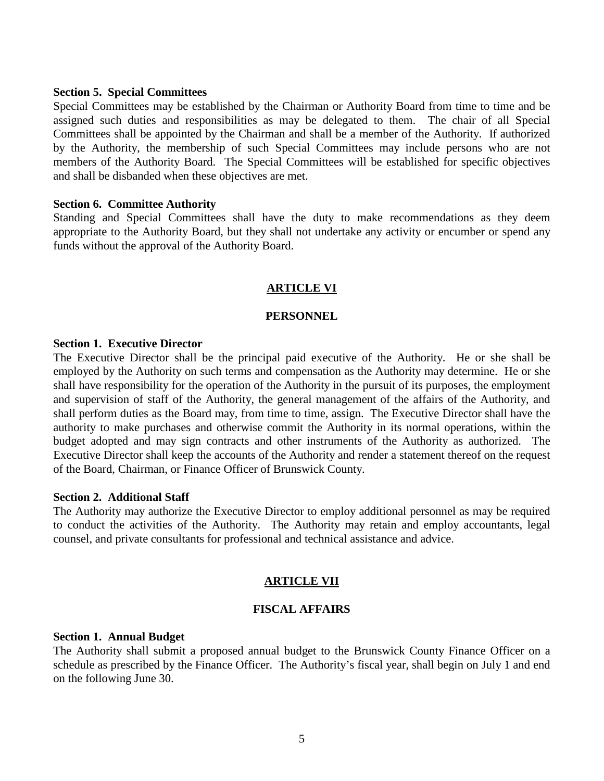#### **Section 5. Special Committees**

Special Committees may be established by the Chairman or Authority Board from time to time and be assigned such duties and responsibilities as may be delegated to them. The chair of all Special Committees shall be appointed by the Chairman and shall be a member of the Authority. If authorized by the Authority, the membership of such Special Committees may include persons who are not members of the Authority Board. The Special Committees will be established for specific objectives and shall be disbanded when these objectives are met.

#### **Section 6. Committee Authority**

Standing and Special Committees shall have the duty to make recommendations as they deem appropriate to the Authority Board, but they shall not undertake any activity or encumber or spend any funds without the approval of the Authority Board.

#### **ARTICLE VI**

#### **PERSONNEL**

#### **Section 1. Executive Director**

The Executive Director shall be the principal paid executive of the Authority. He or she shall be employed by the Authority on such terms and compensation as the Authority may determine. He or she shall have responsibility for the operation of the Authority in the pursuit of its purposes, the employment and supervision of staff of the Authority, the general management of the affairs of the Authority, and shall perform duties as the Board may, from time to time, assign. The Executive Director shall have the authority to make purchases and otherwise commit the Authority in its normal operations, within the budget adopted and may sign contracts and other instruments of the Authority as authorized. The Executive Director shall keep the accounts of the Authority and render a statement thereof on the request of the Board, Chairman, or Finance Officer of Brunswick County.

#### **Section 2. Additional Staff**

The Authority may authorize the Executive Director to employ additional personnel as may be required to conduct the activities of the Authority. The Authority may retain and employ accountants, legal counsel, and private consultants for professional and technical assistance and advice.

# **ARTICLE VII**

#### **FISCAL AFFAIRS**

#### **Section 1. Annual Budget**

The Authority shall submit a proposed annual budget to the Brunswick County Finance Officer on a schedule as prescribed by the Finance Officer. The Authority's fiscal year, shall begin on July 1 and end on the following June 30.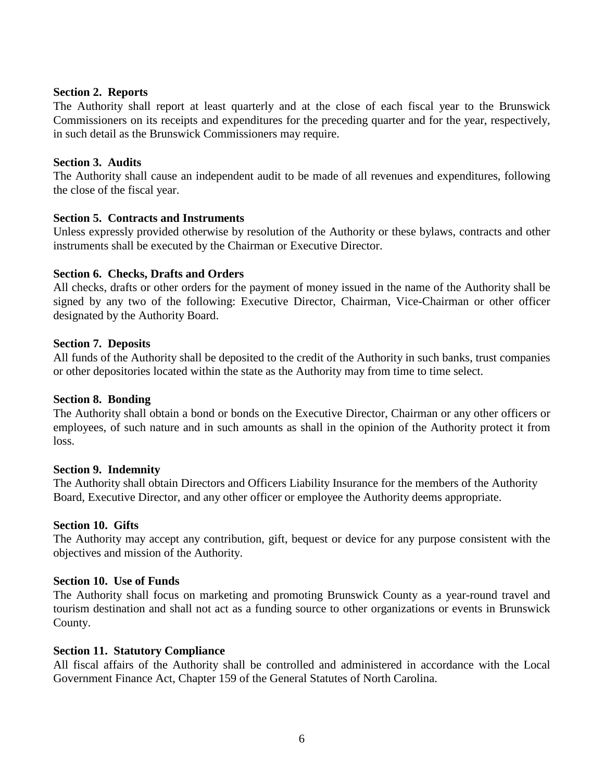#### **Section 2. Reports**

The Authority shall report at least quarterly and at the close of each fiscal year to the Brunswick Commissioners on its receipts and expenditures for the preceding quarter and for the year, respectively, in such detail as the Brunswick Commissioners may require.

#### **Section 3. Audits**

The Authority shall cause an independent audit to be made of all revenues and expenditures, following the close of the fiscal year.

# **Section 5. Contracts and Instruments**

Unless expressly provided otherwise by resolution of the Authority or these bylaws, contracts and other instruments shall be executed by the Chairman or Executive Director.

#### **Section 6. Checks, Drafts and Orders**

All checks, drafts or other orders for the payment of money issued in the name of the Authority shall be signed by any two of the following: Executive Director, Chairman, Vice-Chairman or other officer designated by the Authority Board.

#### **Section 7. Deposits**

All funds of the Authority shall be deposited to the credit of the Authority in such banks, trust companies or other depositories located within the state as the Authority may from time to time select.

#### **Section 8. Bonding**

The Authority shall obtain a bond or bonds on the Executive Director, Chairman or any other officers or employees, of such nature and in such amounts as shall in the opinion of the Authority protect it from loss.

#### **Section 9. Indemnity**

The Authority shall obtain Directors and Officers Liability Insurance for the members of the Authority Board, Executive Director, and any other officer or employee the Authority deems appropriate.

# **Section 10. Gifts**

The Authority may accept any contribution, gift, bequest or device for any purpose consistent with the objectives and mission of the Authority.

# **Section 10. Use of Funds**

The Authority shall focus on marketing and promoting Brunswick County as a year-round travel and tourism destination and shall not act as a funding source to other organizations or events in Brunswick County.

#### **Section 11. Statutory Compliance**

All fiscal affairs of the Authority shall be controlled and administered in accordance with the Local Government Finance Act, Chapter 159 of the General Statutes of North Carolina.